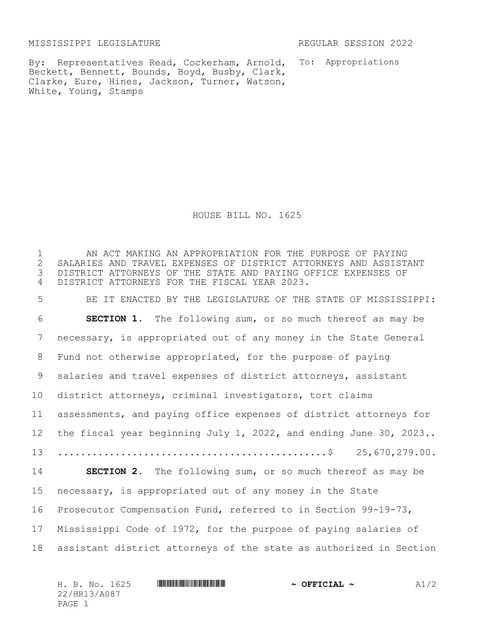MISSISSIPPI LEGISLATURE REGULAR SESSION 2022

By: Representatives Read, Cockerham, Arnold, Beckett, Bennett, Bounds, Boyd, Busby, Clark, Clarke, Eure, Hines, Jackson, Turner, Watson, White, Young, Stamps

To: Appropriations

HOUSE BILL NO. 1625

1 THE AN ACT MAKING AN APPROPRIATION FOR THE PURPOSE OF PAYING<br>2 SALARIES AND TRAVEL EXPENSES OF DISTRICT ATTORNEYS AND ASSIST. 2 SALARIES AND TRAVEL EXPENSES OF DISTRICT ATTORNEYS AND ASSISTANT<br>3 DISTRICT ATTORNEYS OF THE STATE AND PAYING OFFICE EXPENSES OF DISTRICT ATTORNEYS OF THE STATE AND PAYING OFFICE EXPENSES OF DISTRICT ATTORNEYS FOR THE FISCAL YEAR 2023. BE IT ENACTED BY THE LEGISLATURE OF THE STATE OF MISSISSIPPI: **SECTION 1.** The following sum, or so much thereof as may be necessary, is appropriated out of any money in the State General Fund not otherwise appropriated, for the purpose of paying salaries and travel expenses of district attorneys, assistant district attorneys, criminal investigators, tort claims assessments, and paying office expenses of district attorneys for the fiscal year beginning July 1, 2022, and ending June 30, 2023..  $\dots\dots\dots\dots\dots\dots\dots\dots\dots\dots\dots\dots\dots\dots\dots\dots\dots$ . 25,670,279.00. **SECTION 2.** The following sum, or so much thereof as may be necessary, is appropriated out of any money in the State Prosecutor Compensation Fund, referred to in Section 99-19-73, Mississippi Code of 1972, for the purpose of paying salaries of assistant district attorneys of the state as authorized in Section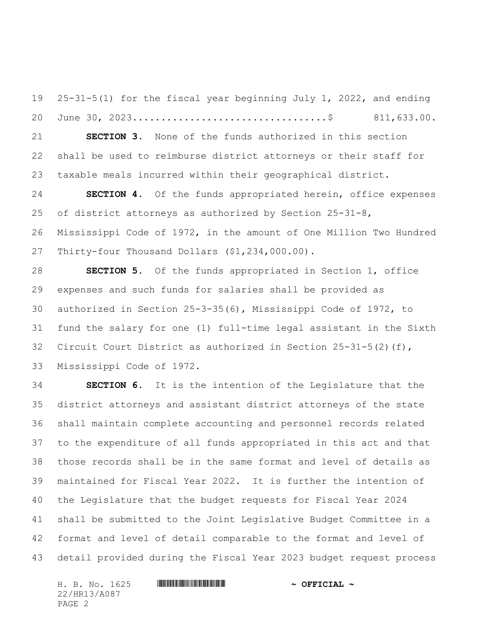25-31-5(1) for the fiscal year beginning July 1, 2022, and ending June 30, 2023..................................\$ 811,633.00.

 **SECTION 3.** None of the funds authorized in this section shall be used to reimburse district attorneys or their staff for taxable meals incurred within their geographical district.

 **SECTION 4.** Of the funds appropriated herein, office expenses of district attorneys as authorized by Section 25-31-8, Mississippi Code of 1972, in the amount of One Million Two Hundred Thirty-four Thousand Dollars (\$1,234,000.00).

 **SECTION 5.** Of the funds appropriated in Section 1, office expenses and such funds for salaries shall be provided as authorized in Section 25-3-35(6), Mississippi Code of 1972, to fund the salary for one (1) full-time legal assistant in the Sixth Circuit Court District as authorized in Section 25-31-5(2)(f), Mississippi Code of 1972.

 **SECTION 6.** It is the intention of the Legislature that the district attorneys and assistant district attorneys of the state shall maintain complete accounting and personnel records related to the expenditure of all funds appropriated in this act and that those records shall be in the same format and level of details as maintained for Fiscal Year 2022. It is further the intention of the Legislature that the budget requests for Fiscal Year 2024 shall be submitted to the Joint Legislative Budget Committee in a format and level of detail comparable to the format and level of detail provided during the Fiscal Year 2023 budget request process

| H. B. No. 1625 | $\sim$ OFFICIAL $\sim$ |
|----------------|------------------------|
| 22/HR13/A087   |                        |
| PAGE 2         |                        |